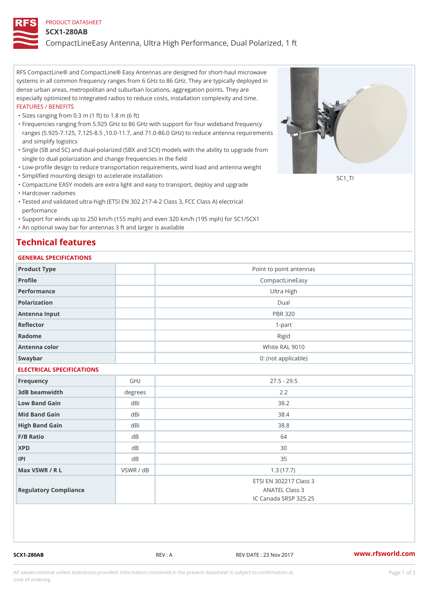### PRODUCT DATASHEET

#### SCX1-280AB

CompactLineEasy Antenna, Ultra High Performance, Dual Polarized, 1 ft

RFS CompactLine® and CompactLine® Easy Antennas are designed for short-haul microwave systems in all common frequency ranges from 6 GHz to 86 GHz. They are typically deployed in dense urban areas, metropolitan and suburban locations, aggregation points. They are especially optimized to integrated radios to reduce costs, installation complexity and time. FEATURES / BENEFITS

"Sizes ranging from 0.3 m (1 ft) to 1.8 m (6 ft)

- Frequencies ranging from 5.925 GHz to 86 GHz with support for four wideband frequency " ranges (5.925-7.125, 7.125-8.5 ,10.0-11.7, and 71.0-86.0 GHz) to reduce antenna requirements and simplify logistics
- Single (SB and SC) and dual-polarized (SBX and SCX) models with the ability to upgrade from " single to dual polarization and change frequencies in the field
- "Low-profile design to reduce transportation requirements, wind load and antenna weight
- "Simplified mounting design to accelerate installation

 "CompactLine EASY models are extra light and easy to transport, deploy and upgrade "Hardcover radomes

Tested and validated ultra-high (ETSI EN 302 217-4-2 Class 3, FCC Class A) electrical " performance

 "Support for winds up to 250 km/h (155 mph) and even 320 km/h (195 mph) for SC1/SCX1 "An optional sway bar for antennas 3 ft and larger is available

## Technical features

## GENERAL SPECIFICATIONS

| OLIVLINAL OI LOII IOA I IONO |        |                                                                   |  |  |  |
|------------------------------|--------|-------------------------------------------------------------------|--|--|--|
| Product Type                 |        | Point to point antennas                                           |  |  |  |
| Profile                      |        | CompactLineEasy                                                   |  |  |  |
| Performance                  |        | Ultra High                                                        |  |  |  |
| Polarization                 |        | $D$ ual                                                           |  |  |  |
| Antenna Input                |        | <b>PBR 320</b>                                                    |  |  |  |
| Reflector                    |        | $1 - p$ art                                                       |  |  |  |
| Radome                       |        | Rigid                                                             |  |  |  |
| Antenna color                |        | White RAL 9010                                                    |  |  |  |
| Swaybar                      |        | 0: (not applicable)                                               |  |  |  |
| ELECTRICAL SPECIFICATIONS    |        |                                                                   |  |  |  |
| Frequency                    | GHz    | $27.5 - 29.5$                                                     |  |  |  |
| 3dB beamwidth                | degree | 2.2                                                               |  |  |  |
| Low Band Gain                | dBi    | 38.2                                                              |  |  |  |
| Mid Band Gain                | dBi    | 38.4                                                              |  |  |  |
| High Band Gain               | dBi    | 38.8                                                              |  |  |  |
| $F/B$ Ratio                  | d B    | 64                                                                |  |  |  |
| <b>XPD</b>                   | d B    | 30                                                                |  |  |  |
| P                            | $d$ B  | 35                                                                |  |  |  |
| Max VSWR / R L               | VSWR / | $d$ B<br>1.3(17.7)                                                |  |  |  |
| Regulatory Compliance        |        | ETSI EN 302217 Class 3<br>ANATEL Class 3<br>IC Canada SRSP 325.25 |  |  |  |

SCX1-280AB REV : A REV DATE : 23 Nov 2017 [www.](https://www.rfsworld.com)rfsworld.com

SC<sub>1</sub>TI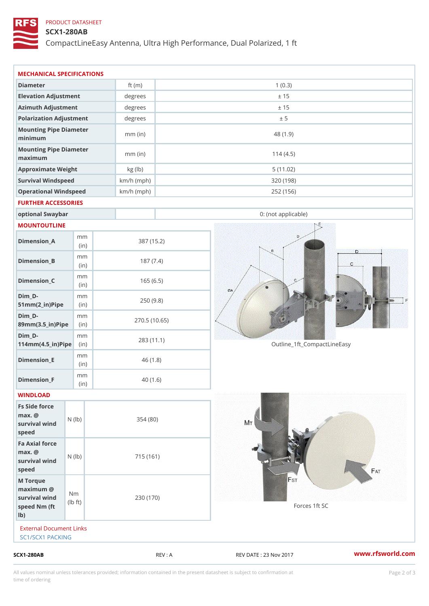## PRODUCT DATASHEET

## SCX1-280AB

CompactLineEasy Antenna, Ultra High Performance, Dual Polarized, 1 ft

| $SCX1 - 280AB$                                                               |                                   |                            | REV : A    | REV DATE : 23 Nov 2017      | www.rfsworld.co |
|------------------------------------------------------------------------------|-----------------------------------|----------------------------|------------|-----------------------------|-----------------|
| External Document Links<br>SC1/SCX1 PACKING                                  |                                   |                            |            |                             |                 |
| M Torque<br>$maximum$ @<br>survival wind<br>speed Nm (ft<br>$1b$ )           | N <sub>m</sub><br>$\pm$ t)<br>l b | 230 (170)                  |            | Forces 1ft SC               |                 |
| Fa Axial force<br>$max.$ @<br>survival $w \nvert N$ ( $ b$ )<br>speed        |                                   | 715 (161)                  |            |                             |                 |
| Fs Side force<br>$max.$ @<br>survival $wined$ ( $\vert b \rangle$ )<br>speed |                                   | 354(80)                    |            |                             |                 |
| WINDLOAD                                                                     |                                   |                            |            |                             |                 |
| Dimension_F                                                                  | m m<br>(in)                       |                            | 40(1.6)    |                             |                 |
| $Dimension$ = E                                                              | m m<br>(i n)                      |                            | 46(1.8)    |                             |                 |
| $Dim_D -$<br>$114$ m m (4.5 _ ir ) $\sqrt{$ ii p $\sqrt{ }$                  | m m                               | 270.5(10.65)<br>283 (11.1) |            | Outline_1ft_CompactLineEasy |                 |
| $Dim_D - D -$<br>89mm (3.5_in) Pi(pine)                                      | m m                               |                            |            |                             |                 |
| $Dim_D - D -$<br>$51mm(2_in)Pip@in$                                          | m m                               |                            | 250(9.8)   |                             |                 |
| $Dimension_C$                                                                | m m<br>(in)                       |                            | 165(6.5)   |                             |                 |
| $Dimension_B$                                                                | m m<br>(in)                       |                            | 187(7.4)   |                             |                 |
| $Dimension_A$                                                                | m m<br>(in)                       |                            | 387 (15.2) |                             |                 |
| MOUNTOUTLINE                                                                 |                                   |                            |            |                             |                 |
| optional Swaybar                                                             |                                   |                            |            | 0: (not applicable)         |                 |
| FURTHER ACCESSORIES                                                          |                                   |                            |            |                             |                 |
| Operational Windspeed                                                        |                                   | $km/h$ (mph)               |            | 252 (156)                   |                 |
| Approximate Weight<br>Survival Windspeed                                     |                                   | kg (lb)<br>$km/h$ (mph)    |            | 5(11.02)<br>320 (198)       |                 |
| Mounting Pipe Diameter<br>maximum                                            |                                   | $mm$ (in)                  |            | 114(4.5)                    |                 |
| Mounting Pipe Diameter<br>minimum                                            |                                   | $mm$ (in)                  |            | 48 (1.9)                    |                 |
| Polarization Adjustment                                                      |                                   | degrees                    |            | ± 5                         |                 |
| Azimuth Adjustment                                                           |                                   | degrees                    |            | ± 15                        |                 |
|                                                                              |                                   | degrees                    |            | ± 15                        |                 |
| Elevation Adjustment                                                         |                                   |                            |            |                             |                 |

All values nominal unless tolerances provided; information contained in the present datasheet is subject to Pcapgelio an atio time of ordering